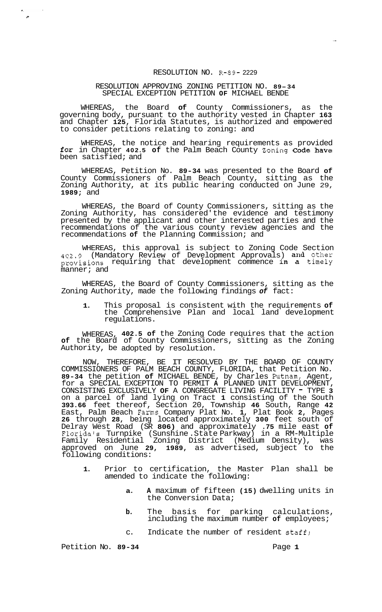## RESOLUTION NO. R-89- 2229

## RESOLUTION APPROVING ZONING PETITION NO. **89-34**  SPECIAL EXCEPTION PETITION **OF** MICHAEL BENDE

WHEREAS, the Board **of** County Commissioners, as the governing body, pursuant to the authority vested in Chapter **163**  and Chapter **125,** Florida Statutes, is authorized and empowered to consider petitions relating to zoning: and

WHEREAS, the notice and hearing requirements as provided for in Chapter **402.5 of** the Palm Beach County Zoning Code have been satisfied; and

WHEREAS, Petition No. **89-34** was presented to the Board **of**  County Commissioners of Palm Beach County, sitting as the Zoning Authority, at its public hearing conducted on June 29, **1989;** and

WHEREAS, the Board of County Commissioners, sitting as the Zoning Authority, has considered' the evidence and testimony presented by the applicant and other interested parties and the recommendations of the various county review agencies and the recommendations **of** the Planning Commission; and

WHEREAS, this approval is subject to Zoning Code Section 402.9 (Mandatory Review of Development Approvals) and other provisions requiring that development commence in a timely manner; and

WHEREAS, the Board of County Commissioners, sitting as the Zoning Authority, made the following findings *of* fact:

**1.** This proposal is consistent with the requirements **of**  the Comprehensive Plan and local land development regulations.

WHEREAS, **402.5 of** the Zoning Code requires that the action **of** the Board of County Commissioners, sitting as the Zoning Authority, be adopted by resolution.

NOW, THEREFORE, BE IT RESOLVED BY THE BOARD OF COUNTY COMMISSIONERS OF PALM BEACH COUNTY, FLORIDA, that Petition No. **89-34** the petition **of** MICHAEL BENDE, by Charles Putnam, Agent, for a SPECIAL EXCEPTION TO PERMIT **A** PLANNED UNIT DEVELOPMENT, CONSISTING EXCLUSIVELY **OF** A CONGREGATE LIVING FACILITY - TYPE **<sup>3</sup>** on a parcel of land lying on Tract **1** consisting of the South **393.66** feet thereof, Section 20, Township **46** South, Range **42**  East, Palm Beach Farms Company Plat No. **1,** Plat Book **2,** Pages **26** through **28,** being located approximately **300** feet south of Delray West Road (SR **806)** and approximately **.75** mile east **of**  Florida's Turnpike (Sunshine .State Parkway) in a RM-Multiple Family Residential Zoning District (Medium Density), was approved on June **29, 1989,** as advertised, subject to the following conditions:

- **1.** Prior to certification, the Master Plan shall be amended to indicate the following:
	- **a. A** maximum of fifteen **(15)** dwelling units in the Conversion Data;
	- **b.** The basis for parking calculations, including the maximum number **of** employees;
	- c. Indicate the number of resident staff;

Petition No. 89-34 **Page 1 Page 1** 

 $\frac{1}{\sigma}$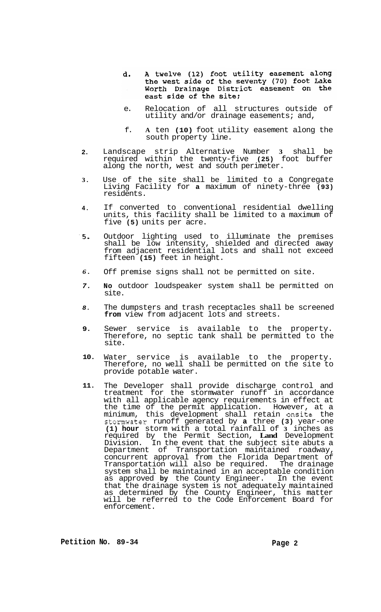- A twelve (12) foot utility easement along<br>the west side of the seventy (70) foot Lake d. Worth Drainage District easement on the east side of the site:
- e. Relocation of all structures outside of utility and/or drainage easements; and,
- f. **A** ten **(10)** foot utility easement along the south property line.
- **2.**  Landscape strip Alternative Number **3** shall be required within the twenty-five **(25)** foot buffer along the north, west and south perimeter.
- **3.**  Use of the site shall be limited to a Congregate Living Facility for **a** maximum of ninety-three **(93)**  residents.
- **4.**  If converted to conventional residential dwelling units, this facility shall be limited to a maximum of five **(5)** units per acre.
- *.5.*  Outdoor lighting used to illuminate the premises shall be low intensity, shielded and directed away from adjacent residential lots and shall not exceed fifteen **(15)** feet in height.
- *6.*  Off premise signs shall not be permitted on site.
- *7.*  **No** outdoor loudspeaker system shall be permitted on site.
- *8.*  The dumpsters and trash receptacles shall be screened **from** view from adjacent lots and streets.
- **9.**  Sewer service is available to the property. Therefore, no septic tank shall be permitted to the site.
- **10.**  Water service is available to the property. Therefore, no well shall be permitted on the site to provide potable water.
- **11.**  The Developer shall provide discharge control and treatment for the stormwater runoff in accordance with all applicable agency requirements in effect at the time of the permit application. However, at a minimum, this development shall retain onsite the stomwater runoff generated by **a** three **(3)** year-one **(1) hour** storm with a total rainfall of **3** inches as required by the Permit Section, **Land** Development Division. In the event that the subject site abuts a Department of Transportation maintained roadway, concurrent approval from the Florida Department of Transportation will also be required. The drainage system shall be maintained in an acceptable condition as approved **by** the County Engineer. In the event that the drainage system is not adequately maintained as determined by the County Engineer, this matter will be referred to the Code Enforcement Board for enforcement.

Petition No. 89-34 Page 2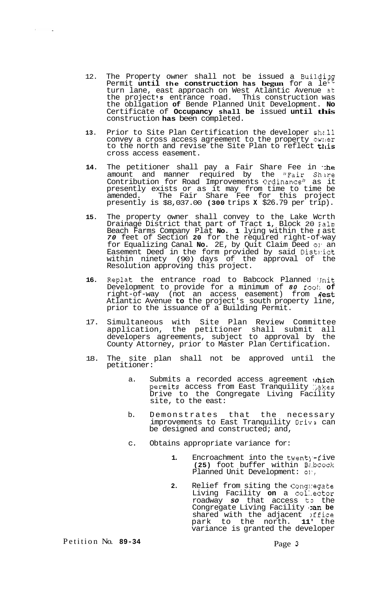- 12. The Property owner shall not be issued a **Buildiag**  Permit **until the construction has begun** for a le Et turn lane, east approach on West Atlantic Avenue 3t the project's entrance road. This construction was the obligation **of** Bende Planned Unit Development. **No**  Certificate of **Occupancy shall be** issued **until this**  construction **has** been completed.
- 13. Prior to Site Plan Certification the developer shall convey a cross access agreement to the property owner to the north and revise the Site Plan to reflect this cross access easement.
- 14. The petitioner shall pay a Fair Share Fee in **the** amount and manner required by the "Fair Share amount and manner required by the "Fair Shire<br>Contribution for Road Improvements Ordinance" as it presently exists or as it may from time to time be amended. The Fair Share Fee for this project presently is \$8,037.00 **(300** trips **X** \$26.79 per trip).
- **15.** The property owner shall convey to the Lake Wcrth Drainage District that part of Tract **1,** Block 20 Ialm Beach Farms Company Plat **No. 1** lying within the *E* ast *70* feet of Section **20** for the required right-of-way for Equalizing Canal **No.** 2E, by Quit Claim Deed **01'** an Easement Deed in the form provided by said Dist1:ict within ninety (90) days of the approval of the Resolution approving this project.
- **16.** Replat the entrance road to Babcock Planned 'Jnit Development to provide for a minimum of *80* fool: **of**  right-of-way (not an access easement) from #est Atlantic Avenue **to** the project's south property line, prior to the issuance of a Building Permit.
- 17. Simultaneous with Site Plan Review Committee application, the petitioner shall submit all developers agreements, subject to approval by the County Attorney, prior to Master Plan Certification.
- 18. The site plan shall not be approved until the petitioner:
	- a. Submits a recorded access agreement which permits access from East Tranquility Makes Drive to the Congregate Living Facility site, to the east:
	- b. Demonstrates that the necessary improvements to East Tranquility Driv: can be designed and constructed; and,
	- c. Obtains appropriate variance for:
		- 1. Encroachment into the twenty-five **(25)** foot buffer within Bz.bcock Planned Unit Development: **OI',**
		- **2.** Relief from siting the Cong1:egate Living Facility **on** a col:.ector roadway *so* that access **t3** the Congregate Living Facility **:an be** shared with the adjacent *stice* park to the north. **11'** the variance is granted the developer

Petition No. **89-34** Page **3** 

 $\mathbf{r}$ 

 $\sim$